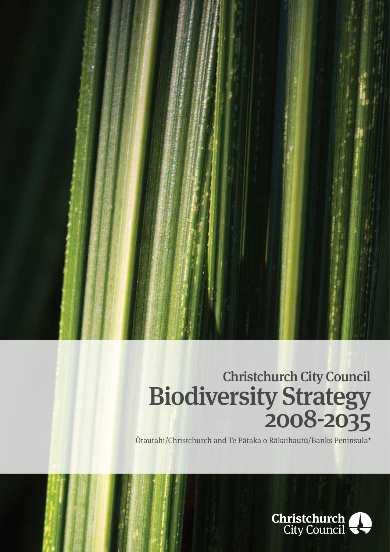

# Biodiversity Strategy<br>2008-2035 Christchurch City Council

Ōtautahi/Christchurch and Te Pātaka o Rākaihautū/Banks Peninsula\*

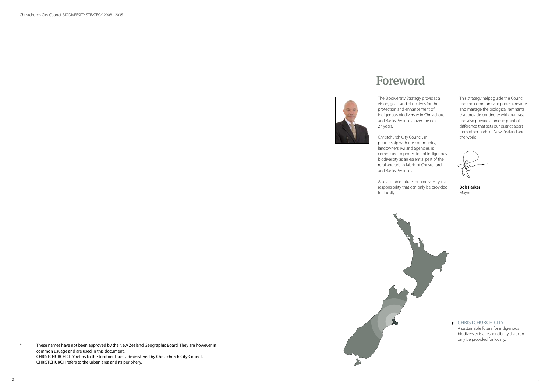Christchurch City Council BIODIVERSITY STRATEGY 2008 - 2035

The Biodiversity Strategy provides a vision, goals and objectives for the protection and enhancement of indigenous biodiversity in Christchurch and Banks Peninsula over the next 27 years.

Christchurch City Council, in partnership with the community, landowners, iwi and agencies, is committed to protection of indigenous biodiversity as an essential part of the rural and urban fabric of Christchurch and Banks Peninsula.

A sustainable future for biodiversity is a responsibility that can only be provided for locally.



## Foreword



These names have not been approved by the New Zealand Geographic Board. They are however in common usuage and are used in this document. CHRISTCHURCH CITY refers to the territorial area administered by Christchurch City Council. CHRISTCHURCH refers to the urban area and its periphery.

This strategy helps guide the Council and the community to protect, restore and manage the biological remnants that provide continuity with our past and also provide a unique point of difference that sets our district apart from other parts of New Zealand and the world.

**Bob Parker** Mayor

### CHRISTCHURCH CITY

A sustainable future for indigenous biodiversity is a responsibility that can only be provided for locally.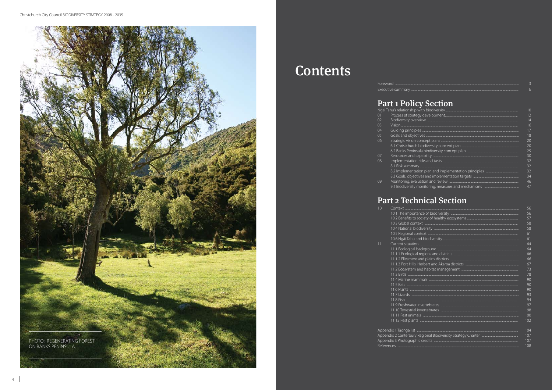

# **Contents**

### Foreword ... Executive summary ...

### **Part 1 Policy Section**

|                 | וווכווטווסוסו כשוושו ושטוו |
|-----------------|----------------------------|
| 01              | Process of stra            |
| 02              | <b>Biodiversity ov</b>     |
| 03              |                            |
| 04              | Guiding princi             |
| $0\overline{5}$ | Goals and obje             |
| 06              | Strategic visior           |
|                 | 6.1 Christchurg            |
|                 | 6.2 Banks Peni             |
| 07              | Resources and              |
| 08              | Implementatio              |
|                 | 8.1 Risk summ              |
|                 | 8.2 Implement              |
|                 | 8.3 Goals, obje            |
| 09              | Monitoring, ev             |
|                 | 91 Biodiversity            |

| 10           |                                          |
|--------------|------------------------------------------|
|              | 10.1 The impor                           |
|              | 10.2 Benefits to                         |
|              | 10.3 Global cor                          |
|              | 10.4 National b                          |
|              | 10.5 Regional c                          |
|              | 10.6 Ngāi Tahu                           |
| 11           | Current situatio                         |
|              | 11.1 Ecological                          |
|              | 11.1.1 Ecologic                          |
|              | 11.1.2 Ellesmer                          |
|              | 11.1.3 Port Hills                        |
|              | 11.2 Ecosystem                           |
|              | 11.3 Birds                               |
|              | 11.4 Marine ma                           |
|              |                                          |
|              | 11.5 Bats<br>11.6 Plants<br>11.7 Lizards |
|              |                                          |
|              | 11.8 Fish                                |
|              | 11.9 Freshwate                           |
|              | 11.10 Terrestria                         |
|              | 11.11 Pest anin                          |
|              |                                          |
|              | 11.12 Pest plan                          |
| $\Lambda$ in | abult Teamers list                       |

|          | $\vert$ () |
|----------|------------|
|          | 12         |
|          | 14         |
|          | 16         |
| es<br>es | 17         |
|          | 18         |
|          | 20         |
|          | 20         |
|          | 25         |
|          | 30         |
|          | 32         |
|          | 32         |
|          | 32         |
|          | 34         |
|          | 46         |
|          | 47         |

### Part 2 Technical Section

| DO.            |
|----------------|
| 56             |
| 57             |
| 58             |
| 58             |
| 61             |
| 61             |
| 64             |
| 64             |
| 66             |
| 66             |
| 67             |
| 73             |
| 78             |
| 90             |
| 90             |
| 90             |
| 93             |
| 94             |
| 97             |
| 98             |
| 100            |
| 102            |
|                |
| 104            |
| 107            |
| 107            |
| 1 <sup>0</sup> |